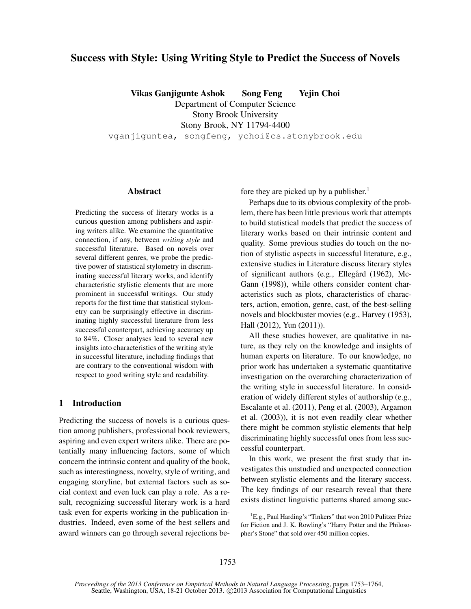# Success with Style: Using Writing Style to Predict the Success of Novels

Vikas Ganjigunte Ashok Song Feng Yejin Choi

Department of Computer Science Stony Brook University Stony Brook, NY 11794-4400 vganjiguntea, songfeng, ychoi@cs.stonybrook.edu

### Abstract

Predicting the success of literary works is a curious question among publishers and aspiring writers alike. We examine the quantitative connection, if any, between *writing style* and successful literature. Based on novels over several different genres, we probe the predictive power of statistical stylometry in discriminating successful literary works, and identify characteristic stylistic elements that are more prominent in successful writings. Our study reports for the first time that statistical stylometry can be surprisingly effective in discriminating highly successful literature from less successful counterpart, achieving accuracy up to 84%. Closer analyses lead to several new insights into characteristics of the writing style in successful literature, including findings that are contrary to the conventional wisdom with respect to good writing style and readability.

### 1 Introduction

Predicting the success of novels is a curious question among publishers, professional book reviewers, aspiring and even expert writers alike. There are potentially many influencing factors, some of which concern the intrinsic content and quality of the book, such as interestingness, novelty, style of writing, and engaging storyline, but external factors such as social context and even luck can play a role. As a result, recognizing successful literary work is a hard task even for experts working in the publication industries. Indeed, even some of the best sellers and award winners can go through several rejections before they are picked up by a publisher.<sup>1</sup>

Perhaps due to its obvious complexity of the problem, there has been little previous work that attempts to build statistical models that predict the success of literary works based on their intrinsic content and quality. Some previous studies do touch on the notion of stylistic aspects in successful literature, e.g., extensive studies in Literature discuss literary styles of significant authors (e.g., Ellegård (1962), Mc-Gann (1998)), while others consider content characteristics such as plots, characteristics of characters, action, emotion, genre, cast, of the best-selling novels and blockbuster movies (e.g., Harvey (1953), Hall (2012), Yun (2011)).

All these studies however, are qualitative in nature, as they rely on the knowledge and insights of human experts on literature. To our knowledge, no prior work has undertaken a systematic quantitative investigation on the overarching characterization of the writing style in successful literature. In consideration of widely different styles of authorship (e.g., Escalante et al. (2011), Peng et al. (2003), Argamon et al. (2003)), it is not even readily clear whether there might be common stylistic elements that help discriminating highly successful ones from less successful counterpart.

In this work, we present the first study that investigates this unstudied and unexpected connection between stylistic elements and the literary success. The key findings of our research reveal that there exists distinct linguistic patterns shared among suc-

<sup>&</sup>lt;sup>1</sup>E.g., Paul Harding's "Tinkers" that won 2010 Pulitzer Prize for Fiction and J. K. Rowling's "Harry Potter and the Philosopher's Stone" that sold over 450 million copies.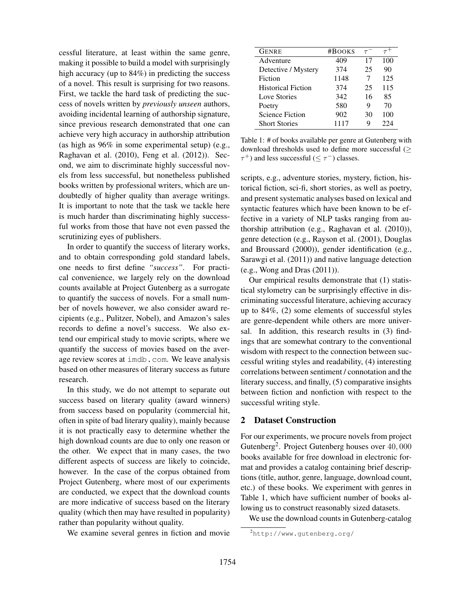cessful literature, at least within the same genre, making it possible to build a model with surprisingly high accuracy (up to 84%) in predicting the success of a novel. This result is surprising for two reasons. First, we tackle the hard task of predicting the success of novels written by *previously unseen* authors, avoiding incidental learning of authorship signature, since previous research demonstrated that one can achieve very high accuracy in authorship attribution (as high as 96% in some experimental setup) (e.g., Raghavan et al. (2010), Feng et al. (2012)). Second, we aim to discriminate highly successful novels from less successful, but nonetheless published books written by professional writers, which are undoubtedly of higher quality than average writings. It is important to note that the task we tackle here is much harder than discriminating highly successful works from those that have not even passed the scrutinizing eyes of publishers.

In order to quantify the success of literary works, and to obtain corresponding gold standard labels, one needs to first define *"success"*. For practical convenience, we largely rely on the download counts available at Project Gutenberg as a surrogate to quantify the success of novels. For a small number of novels however, we also consider award recipients (e.g., Pulitzer, Nobel), and Amazon's sales records to define a novel's success. We also extend our empirical study to movie scripts, where we quantify the success of movies based on the average review scores at imdb.com. We leave analysis based on other measures of literary success as future research.

In this study, we do not attempt to separate out success based on literary quality (award winners) from success based on popularity (commercial hit, often in spite of bad literary quality), mainly because it is not practically easy to determine whether the high download counts are due to only one reason or the other. We expect that in many cases, the two different aspects of success are likely to coincide, however. In the case of the corpus obtained from Project Gutenberg, where most of our experiments are conducted, we expect that the download counts are more indicative of success based on the literary quality (which then may have resulted in popularity) rather than popularity without quality.

We examine several genres in fiction and movie

| <b>GENRE</b>              | #BOOKS | $\tau$ | $\tau^+$ |
|---------------------------|--------|--------|----------|
| Adventure                 | 409    | 17     | 100      |
| Detective / Mystery       | 374    | 25     | 90       |
| Fiction                   | 1148   | 7      | 125      |
| <b>Historical Fiction</b> | 374    | 25     | 115      |
| <b>Love Stories</b>       | 342    | 16     | 85       |
| Poetry                    | 580    | 9      | 70       |
| <b>Science Fiction</b>    | 902    | 30     | 100      |
| <b>Short Stories</b>      | 1117   | Q      |          |

Table 1: # of books available per genre at Gutenberg with download thresholds used to define more successful (≥  $\tau^+$ ) and less successful ( $\leq \tau^-$ ) classes.

scripts, e.g., adventure stories, mystery, fiction, historical fiction, sci-fi, short stories, as well as poetry, and present systematic analyses based on lexical and syntactic features which have been known to be effective in a variety of NLP tasks ranging from authorship attribution (e.g., Raghavan et al. (2010)), genre detection (e.g., Rayson et al. (2001), Douglas and Broussard (2000)), gender identification (e.g., Sarawgi et al. (2011)) and native language detection (e.g., Wong and Dras (2011)).

Our empirical results demonstrate that (1) statistical stylometry can be surprisingly effective in discriminating successful literature, achieving accuracy up to 84%, (2) some elements of successful styles are genre-dependent while others are more universal. In addition, this research results in (3) findings that are somewhat contrary to the conventional wisdom with respect to the connection between successful writing styles and readability, (4) interesting correlations between sentiment / connotation and the literary success, and finally, (5) comparative insights between fiction and nonfiction with respect to the successful writing style.

### 2 Dataset Construction

For our experiments, we procure novels from project Gutenberg<sup>2</sup>. Project Gutenberg houses over  $40,000$ books available for free download in electronic format and provides a catalog containing brief descriptions (title, author, genre, language, download count, etc.) of these books. We experiment with genres in Table 1, which have sufficient number of books allowing us to construct reasonably sized datasets.

We use the download counts in Gutenberg-catalog

<sup>2</sup>http://www.gutenberg.org/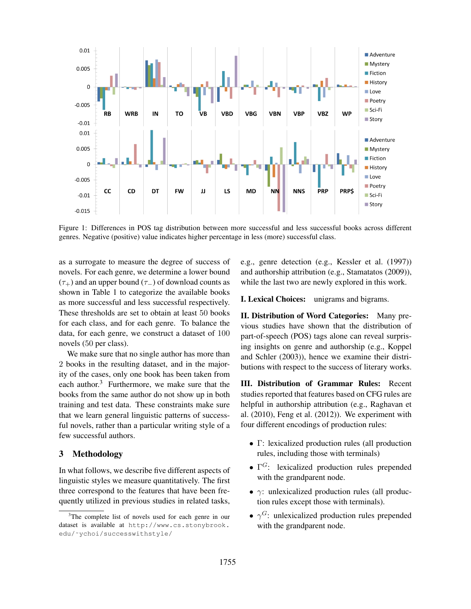

Figure 1: Differences in POS tag distribution between more successful and less successful books across different genres. Negative (positive) value indicates higher percentage in less (more) successful class.

as a surrogate to measure the degree of success of novels. For each genre, we determine a lower bound  $(\tau_{+})$  and an upper bound  $(\tau_{-})$  of download counts as shown in Table 1 to categorize the available books as more successful and less successful respectively. These thresholds are set to obtain at least 50 books for each class, and for each genre. To balance the data, for each genre, we construct a dataset of 100 novels (50 per class).

We make sure that no single author has more than 2 books in the resulting dataset, and in the majority of the cases, only one book has been taken from each author.<sup>3</sup> Furthermore, we make sure that the books from the same author do not show up in both training and test data. These constraints make sure that we learn general linguistic patterns of successful novels, rather than a particular writing style of a few successful authors.

#### 3 Methodology

In what follows, we describe five different aspects of linguistic styles we measure quantitatively. The first three correspond to the features that have been frequently utilized in previous studies in related tasks,

e.g., genre detection (e.g., Kessler et al. (1997)) and authorship attribution (e.g., Stamatatos (2009)), while the last two are newly explored in this work.

I. Lexical Choices: unigrams and bigrams.

II. Distribution of Word Categories: Many previous studies have shown that the distribution of part-of-speech (POS) tags alone can reveal surprising insights on genre and authorship (e.g., Koppel and Schler (2003)), hence we examine their distributions with respect to the success of literary works.

III. Distribution of Grammar Rules: Recent studies reported that features based on CFG rules are helpful in authorship attribution (e.g., Raghavan et al. (2010), Feng et al. (2012)). We experiment with four different encodings of production rules:

- Γ: lexicalized production rules (all production rules, including those with terminals)
- $\Gamma$ <sup>G</sup>: lexicalized production rules prepended with the grandparent node.
- $\gamma$ : unlexicalized production rules (all production rules except those with terminals).
- $\gamma$ <sup>G</sup>: unlexicalized production rules prepended with the grandparent node.

<sup>&</sup>lt;sup>3</sup>The complete list of novels used for each genre in our dataset is available at http://www.cs.stonybrook. edu/˜ychoi/successwithstyle/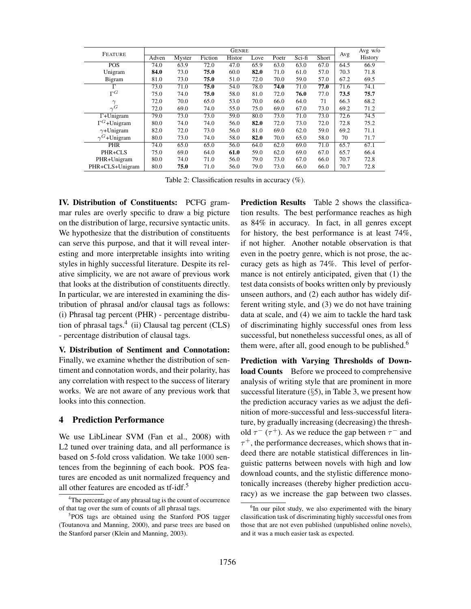| <b>FEATURE</b>                 |       |        |         | <b>GENRE</b> |      |       |          |       |      | Avg $w/o$ |
|--------------------------------|-------|--------|---------|--------------|------|-------|----------|-------|------|-----------|
|                                | Adven | Myster | Fiction | Histor       | Love | Poetr | $Sci-fi$ | Short | Avg  | History   |
| <b>POS</b>                     | 74.0  | 63.9   | 72.0    | 47.0         | 65.9 | 63.0  | 63.0     | 67.0  | 64.5 | 66.9      |
| Unigram                        | 84.0  | 73.0   | 75.0    | 60.0         | 82.0 | 71.0  | 61.0     | 57.0  | 70.3 | 71.8      |
| Bigram                         | 81.0  | 73.0   | 75.0    | 51.0         | 72.0 | 70.0  | 59.0     | 57.0  | 67.2 | 69.5      |
|                                | 73.0  | 71.0   | 75.0    | 54.0         | 78.0 | 74.0  | 71.0     | 77.0  | 71.6 | 74.1      |
| $\Gamma^G$                     | 75.0  | 74.0   | 75.0    | 58.0         | 81.0 | 72.0  | 76.0     | 77.0  | 73.5 | 75.7      |
| $\gamma$                       | 72.0  | 70.0   | 65.0    | 53.0         | 70.0 | 66.0  | 64.0     | 71    | 66.3 | 68.2      |
| $\gamma^G$                     | 72.0  | 69.0   | 74.0    | 55.0         | 75.0 | 69.0  | 67.0     | 73.0  | 69.2 | 71.2      |
| $\Gamma$ +Unigram              | 79.0  | 73.0   | 73.0    | 59.0         | 80.0 | 73.0  | 71.0     | 73.0  | 72.6 | 74.5      |
| $\Gamma$ <sup>G</sup> +Unigram | 80.0  | 74.0   | 74.0    | 56.0         | 82.0 | 72.0  | 73.0     | 72.0  | 72.8 | 75.2      |
| $\gamma$ +Unigram              | 82.0  | 72.0   | 73.0    | 56.0         | 81.0 | 69.0  | 62.0     | 59.0  | 69.2 | 71.1      |
| $\gamma$ <sup>G</sup> +Unigram | 80.0  | 73.0   | 74.0    | 58.0         | 82.0 | 70.0  | 65.0     | 58.0  | 70   | 71.7      |
| <b>PHR</b>                     | 74.0  | 65.0   | 65.0    | 56.0         | 64.0 | 62.0  | 69.0     | 71.0  | 65.7 | 67.1      |
| PHR+CLS                        | 75.0  | 69.0   | 64.0    | 61.0         | 59.0 | 62.0  | 69.0     | 67.0  | 65.7 | 66.4      |
| PHR+Unigram                    | 80.0  | 74.0   | 71.0    | 56.0         | 79.0 | 73.0  | 67.0     | 66.0  | 70.7 | 72.8      |
| PHR+CLS+Unigram                | 80.0  | 75.0   | 71.0    | 56.0         | 79.0 | 73.0  | 66.0     | 66.0  | 70.7 | 72.8      |

Table 2: Classification results in accuracy (%).

IV. Distribution of Constituents: PCFG grammar rules are overly specific to draw a big picture on the distribution of large, recursive syntactic units. We hypothesize that the distribution of constituents can serve this purpose, and that it will reveal interesting and more interpretable insights into writing styles in highly successful literature. Despite its relative simplicity, we are not aware of previous work that looks at the distribution of constituents directly. In particular, we are interested in examining the distribution of phrasal and/or clausal tags as follows: (i) Phrasal tag percent (PHR) - percentage distribution of phrasal tags. $4$  (ii) Clausal tag percent (CLS) - percentage distribution of clausal tags.

V. Distribution of Sentiment and Connotation: Finally, we examine whether the distribution of sentiment and connotation words, and their polarity, has any correlation with respect to the success of literary works. We are not aware of any previous work that looks into this connection.

#### 4 Prediction Performance

We use LibLinear SVM (Fan et al., 2008) with L<sub>2</sub> tuned over training data, and all performance is based on 5-fold cross validation. We take 1000 sentences from the beginning of each book. POS features are encoded as unit normalized frequency and all other features are encoded as  $tf-idf.^5$ 

Prediction Results Table 2 shows the classification results. The best performance reaches as high as 84% in accuracy. In fact, in all genres except for history, the best performance is at least 74%, if not higher. Another notable observation is that even in the poetry genre, which is not prose, the accuracy gets as high as 74%. This level of performance is not entirely anticipated, given that (1) the test data consists of books written only by previously unseen authors, and (2) each author has widely different writing style, and (3) we do not have training data at scale, and (4) we aim to tackle the hard task of discriminating highly successful ones from less successful, but nonetheless successful ones, as all of them were, after all, good enough to be published.<sup>6</sup>

Prediction with Varying Thresholds of Download Counts Before we proceed to comprehensive analysis of writing style that are prominent in more successful literature  $(\S 5)$ , in Table 3, we present how the prediction accuracy varies as we adjust the definition of more-successful and less-successful literature, by gradually increasing (decreasing) the threshold  $\tau^-(\tau^+)$ . As we reduce the gap between  $\tau^-$  and  $\tau^+$ , the performance decreases, which shows that indeed there are notable statistical differences in linguistic patterns between novels with high and low download counts, and the stylistic difference monotonically increases (thereby higher prediction accuracy) as we increase the gap between two classes.

 ${}^{4}$ The percentage of any phrasal tag is the count of occurrence of that tag over the sum of counts of all phrasal tags.

<sup>&</sup>lt;sup>5</sup>POS tags are obtained using the Stanford POS tagger (Toutanova and Manning, 2000), and parse trees are based on the Stanford parser (Klein and Manning, 2003).

<sup>&</sup>lt;sup>6</sup>In our pilot study, we also experimented with the binary classification task of discriminating highly successful ones from those that are not even published (unpublished online novels), and it was a much easier task as expected.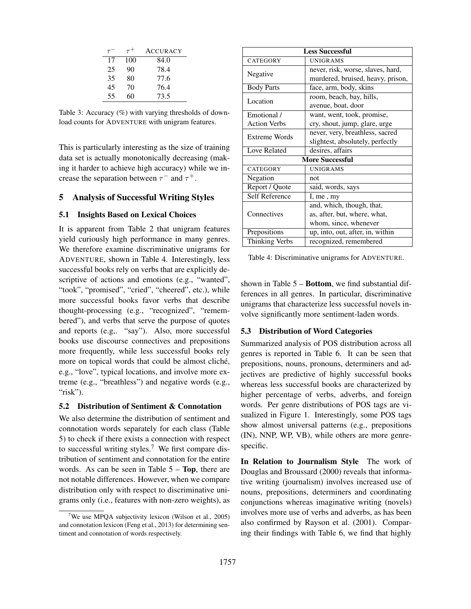| $\tau$ | $\tau^+$ | <b>ACCURACY</b> |
|--------|----------|-----------------|
| 17     | 100      | 84.0            |
| 25     | 90       | 78.4            |
| 35     | 80       | 77.6            |
| 45     | 70       | 76.4            |
| 55     | 60       | 73.5            |

Table 3: Accuracy (%) with varying thresholds of download counts for ADVENTURE with unigram features.

This is particularly interesting as the size of training data set is actually monotonically decreasing (making it harder to achieve high accuracy) while we increase the separation between  $\tau^-$  and  $\tau^+$ .

#### 5 Analysis of Successful Writing Styles

#### 5.1 Insights Based on Lexical Choices

It is apparent from Table 2 that unigram features yield curiously high performance in many genres. We therefore examine discriminative unigrams for ADVENTURE, shown in Table 4. Interestingly, less successful books rely on verbs that are explicitly descriptive of actions and emotions (e.g., "wanted", "took", "promised", "cried", "cheered", etc.), while more successful books favor verbs that describe thought-processing (e.g., "recognized", "remembered"), and verbs that serve the purpose of quotes and reports (e.g,. "say"). Also, more successful books use discourse connectives and prepositions more frequently, while less successful books rely more on topical words that could be almost cliché, e.g., "love", typical locations, and involve more extreme (e.g., "breathless") and negative words (e.g., "risk").

#### 5.2 Distribution of Sentiment & Connotation

We also determine the distribution of sentiment and connotation words separately for each class (Table 5) to check if there exists a connection with respect to successful writing styles.<sup>7</sup> We first compare distribution of sentiment and connotation for the entire words. As can be seen in Table  $5 - Top$ , there are not notable differences. However, when we compare distribution only with respect to discriminative unigrams only (i.e., features with non-zero weights), as

| <b>Less Successful</b> |                                   |  |  |  |
|------------------------|-----------------------------------|--|--|--|
| CATEGORY               | <b>UNIGRAMS</b>                   |  |  |  |
| Negative               | never, risk, worse, slaves, hard, |  |  |  |
|                        | murdered, bruised, heavy, prison, |  |  |  |
| <b>Body Parts</b>      | face, arm, body, skins            |  |  |  |
| Location               | room, beach, bay, hills,          |  |  |  |
|                        | avenue, boat, door                |  |  |  |
| Emotional /            | want, went, took, promise,        |  |  |  |
| <b>Action Verbs</b>    | cry, shout, jump, glare, urge     |  |  |  |
| Extreme Words          | never, very, breathless, sacred   |  |  |  |
|                        | slightest, absolutely, perfectly  |  |  |  |
| Love Related           | desires, affairs                  |  |  |  |
|                        | <b>More Successful</b>            |  |  |  |
| CATEGORY               | <b>UNIGRAMS</b>                   |  |  |  |
| Negation               | not                               |  |  |  |
| Report / Quote         | said, words, says                 |  |  |  |
| Self Reference         | I, me, my                         |  |  |  |
|                        | and, which, though, that,         |  |  |  |
| Connectives            | as, after, but, where, what,      |  |  |  |
|                        | whom, since, whenever             |  |  |  |
| Prepositions           | up, into, out, after, in, within  |  |  |  |
| Thinking Verbs         | recognized, remembered            |  |  |  |

Table 4: Discriminative unigrams for ADVENTURE.

shown in Table  $5 -$  Bottom, we find substantial differences in all genres. In particular, discriminative unigrams that characterize less successful novels involve significantly more sentiment-laden words.

#### 5.3 Distribution of Word Categories

Summarized analysis of POS distribution across all genres is reported in Table 6. It can be seen that prepositions, nouns, pronouns, determiners and adjectives are predictive of highly successful books whereas less successful books are characterized by higher percentage of verbs, adverbs, and foreign words. Per genre distributions of POS tags are visualized in Figure 1. Interestingly, some POS tags show almost universal patterns (e.g., prepositions (IN), NNP, WP, VB), while others are more genrespecific.

In Relation to Journalism Style The work of Douglas and Broussard (2000) reveals that informative writing (journalism) involves increased use of nouns, prepositions, determiners and coordinating conjunctions whereas imaginative writing (novels) involves more use of verbs and adverbs, as has been also confirmed by Rayson et al. (2001). Comparing their findings with Table 6, we find that highly

<sup>&</sup>lt;sup>7</sup>We use MPQA subjectivity lexicon (Wilson et al., 2005) and connotation lexicon (Feng et al., 2013) for determining sentiment and connotation of words respectively.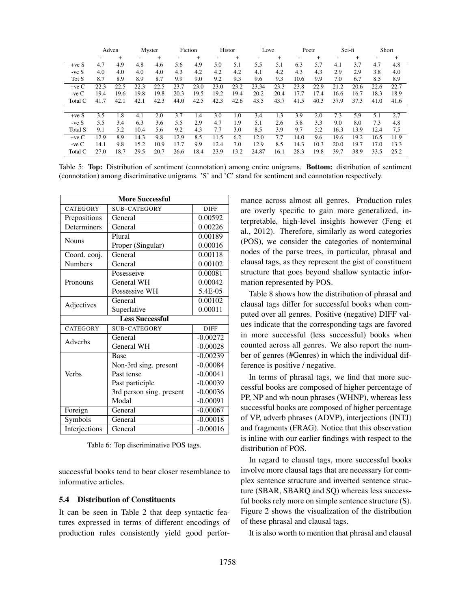|           |      | Adven | Myster                   |           |      | Fiction        |                 | Histor         | Love                     |           | Poetr           |        | Sci-fi |       |                          | Short     |
|-----------|------|-------|--------------------------|-----------|------|----------------|-----------------|----------------|--------------------------|-----------|-----------------|--------|--------|-------|--------------------------|-----------|
|           |      | $+$   | $\overline{\phantom{a}}$ | $\ddot{}$ |      | $\overline{+}$ | $\qquad \qquad$ | $\overline{+}$ | $\overline{\phantom{a}}$ | $\ddot{}$ | $\qquad \qquad$ | $^{+}$ |        | $\pm$ | $\overline{\phantom{a}}$ | $\ddot{}$ |
| $+veS$    | 4.7  | 4.9   | 4.8                      | 4.6       | 5.6  | 4.9            | 5.0             | 5.1            | 5.5                      | 5.1       | 6.3             | 5.7    | 4.1    | 3.7   | 4.7                      | 4.8       |
| $-veS$    | 4.0  | 4.0   | 4.0                      | 4.0       | 4.3  | 4.2            | 4.2             | 4.2            | 4.1                      | 4.2       | 4.3             | 4.3    | 2.9    | 2.9   | 3.8                      | 4.0       |
| Tot S     | 8.7  | 8.9   | 8.9                      | 8.7       | 9.9  | 9.0            | 9.2             | 9.3            | 9.6                      | 9.3       | 10.6            | 9.9    | 7.0    | 6.7   | 8.5                      | 8.9       |
| $+veC$    | 22.3 | 22.5  | 22.3                     | 22.5      | 23.7 | 23.0           | 23.0            | 23.2           | 23.34                    | 23.3      | 23.8            | 22.9   | 21.2   | 20.6  | 22.6                     | 22.7      |
| $-ve \ C$ | 19.4 | 19.6  | 19.8                     | 19.8      | 20.3 | 19.5           | 19.2            | 19.4           | 20.2                     | 20.4      | 17.7            | 17.4   | 16.6   | 16.7  | 18.3                     | 18.9      |
| Total C   | 41.7 | 42.1  | 42.1                     | 42.3      | 44.0 | 42.5           | 42.3            | 42.6           | 43.5                     | 43.7      | 41.5            | 40.3   | 37.9   | 37.3  | 41.0                     | 41.6      |
|           |      |       |                          |           |      |                |                 |                |                          |           |                 |        |        |       |                          |           |
| $+veS$    | 3.5  | 1.8   | 4.1                      | 2.0       | 3.7  | 1.4            | 3.0             | 1.0            | 3.4                      | 1.3       | 3.9             | 2.0    | 7.3    | 5.9   | 5.1                      | 2.7       |
| $-veS$    | 5.5  | 3.4   | 6.3                      | 3.6       | 5.5  | 2.9            | 4.7             | 1.9            | 5.1                      | 2.6       | 5.8             | 3.3    | 9.0    | 8.0   | 7.3                      | 4.8       |
| Total S   | 9.1  | 5.2   | 10.4                     | 5.6       | 9.2  | 4.3            | 7.7             | 3.0            | 8.5                      | 3.9       | 9.7             | 5.2    | 16.3   | 13.9  | 12.4                     | 7.5       |
| $+veC$    | 12.9 | 8.9   | 14.3                     | 9.8       | 12.9 | 8.5            | 11.5            | 6.2            | 12.0                     | 7.7       | 14.0            | 9.6    | 19.6   | 19.2  | 16.5                     | 11.9      |
| $-ve \ C$ | 14.1 | 9.8   | 15.2                     | 10.9      | 13.7 | 9.9            | 12.4            | 7.0            | 12.9                     | 8.5       | 14.3            | 10.3   | 20.0   | 19.7  | 17.0                     | 13.3      |
| Total C   | 27.0 | 18.7  | 29.5                     | 20.7      | 26.6 | 18.4           | 23.9            | 13.2           | 24.87                    | 16.1      | 28.3            | 19.8   | 39.7   | 38.9  | 33.5                     | 25.2      |

Table 5: Top: Distribution of sentiment (connotation) among entire unigrams. Bottom: distribution of sentiment (connotation) among discriminative unigrams. 'S' and 'C' stand for sentiment and connotation respectively.

| <b>More Successful</b> |                          |             |  |  |  |  |  |
|------------------------|--------------------------|-------------|--|--|--|--|--|
| CATEGORY               | <b>SUB-CATEGORY</b>      | <b>DIFF</b> |  |  |  |  |  |
| Prepositions           | General                  | 0.00592     |  |  |  |  |  |
| Determiners            | General                  | 0.00226     |  |  |  |  |  |
| <b>Nouns</b>           | Plural                   | 0.00189     |  |  |  |  |  |
|                        | Proper (Singular)        | 0.00016     |  |  |  |  |  |
| Coord. conj.           | General                  | 0.00118     |  |  |  |  |  |
| <b>Numbers</b>         | General                  | 0.00102     |  |  |  |  |  |
|                        | Posesseive               | 0.00081     |  |  |  |  |  |
| Pronouns               | General WH               | 0.00042     |  |  |  |  |  |
|                        | Possessive WH            | 5.4E-05     |  |  |  |  |  |
|                        | General                  | 0.00102     |  |  |  |  |  |
| Adjectives             | Superlative              | 0.00011     |  |  |  |  |  |
|                        | <b>Less Successful</b>   |             |  |  |  |  |  |
| CATEGORY               | <b>SUB-CATEGORY</b>      | <b>DIFF</b> |  |  |  |  |  |
| Adverbs                | General                  | $-0.00272$  |  |  |  |  |  |
|                        | General WH               | $-0.00028$  |  |  |  |  |  |
|                        | Base                     | $-0.00239$  |  |  |  |  |  |
|                        | Non-3rd sing. present    | $-0.00084$  |  |  |  |  |  |
| <b>Verbs</b>           | Past tense               | $-0.00041$  |  |  |  |  |  |
|                        | Past participle          | $-0.00039$  |  |  |  |  |  |
|                        | 3rd person sing. present | $-0.00036$  |  |  |  |  |  |
|                        | Modal                    | $-0.00091$  |  |  |  |  |  |
| Foreign                | General                  | $-0.00067$  |  |  |  |  |  |
| Symbols                | General                  | $-0.00018$  |  |  |  |  |  |
| Interjections          | General                  | $-0.00016$  |  |  |  |  |  |

Table 6: Top discriminative POS tags.

successful books tend to bear closer resemblance to informative articles.

#### 5.4 Distribution of Constituents

It can be seen in Table 2 that deep syntactic features expressed in terms of different encodings of production rules consistently yield good performance across almost all genres. Production rules are overly specific to gain more generalized, interpretable, high-level insights however (Feng et al., 2012). Therefore, similarly as word categories (POS), we consider the categories of nonterminal nodes of the parse trees, in particular, phrasal and clausal tags, as they represent the gist of constituent structure that goes beyond shallow syntactic information represented by POS.

Table 8 shows how the distribution of phrasal and clausal tags differ for successful books when computed over all genres. Positive (negative) DIFF values indicate that the corresponding tags are favored in more successful (less successful) books when counted across all genres. We also report the number of genres (#Genres) in which the individual difference is positive / negative.

In terms of phrasal tags, we find that more successful books are composed of higher percentage of PP, NP and wh-noun phrases (WHNP), whereas less successful books are composed of higher percentage of VP, adverb phrases (ADVP), interjections (INTJ) and fragments (FRAG). Notice that this observation is inline with our earlier findings with respect to the distribution of POS.

In regard to clausal tags, more successful books involve more clausal tags that are necessary for complex sentence structure and inverted sentence structure (SBAR, SBARQ and SQ) whereas less successful books rely more on simple sentence structure (S). Figure 2 shows the visualization of the distribution of these phrasal and clausal tags.

It is also worth to mention that phrasal and clausal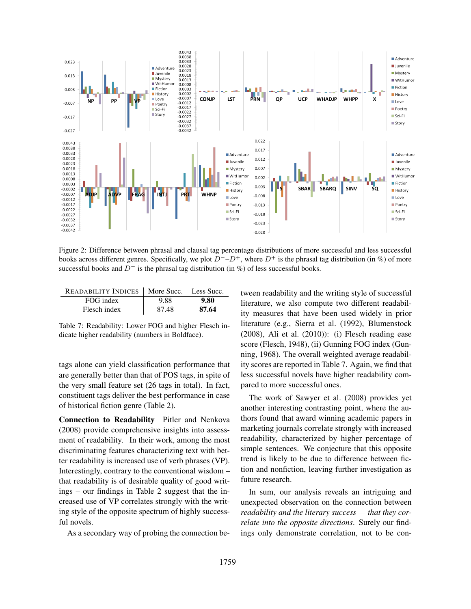

Figure 2: Difference between phrasal and clausal tag percentage distributions of more successful and less successful books across different genres. Specifically, we plot  $D^-$ – $D^+$ , where  $D^+$  is the phrasal tag distribution (in %) of more successful books and  $D^-$  is the phrasal tag distribution (in %) of less successful books.

| READABILITY INDICES   More Succ. Less Succ. |       |       |
|---------------------------------------------|-------|-------|
| FOG index                                   | 9.88  | 9.80  |
| Flesch index                                | 87.48 | 87.64 |

Table 7: Readability: Lower FOG and higher Flesch indicate higher readability (numbers in Boldface).

tags alone can yield classification performance that are generally better than that of POS tags, in spite of the very small feature set (26 tags in total). In fact, constituent tags deliver the best performance in case of historical fiction genre (Table 2).

Connection to Readability Pitler and Nenkova (2008) provide comprehensive insights into assessment of readability. In their work, among the most discriminating features characterizing text with better readability is increased use of verb phrases (VP). Interestingly, contrary to the conventional wisdom – that readability is of desirable quality of good writings – our findings in Table 2 suggest that the increased use of VP correlates strongly with the writing style of the opposite spectrum of highly successful novels.

As a secondary way of probing the connection be-

tween readability and the writing style of successful literature, we also compute two different readability measures that have been used widely in prior literature (e.g., Sierra et al. (1992), Blumenstock (2008), Ali et al. (2010)): (i) Flesch reading ease score (Flesch, 1948), (ii) Gunning FOG index (Gunning, 1968). The overall weighted average readability scores are reported in Table 7. Again, we find that less successful novels have higher readability compared to more successful ones.

The work of Sawyer et al. (2008) provides yet another interesting contrasting point, where the authors found that award winning academic papers in marketing journals correlate strongly with increased readability, characterized by higher percentage of simple sentences. We conjecture that this opposite trend is likely to be due to difference between fiction and nonfiction, leaving further investigation as future research.

In sum, our analysis reveals an intriguing and unexpected observation on the connection between *readability and the literary success — that they correlate into the opposite directions*. Surely our findings only demonstrate correlation, not to be con-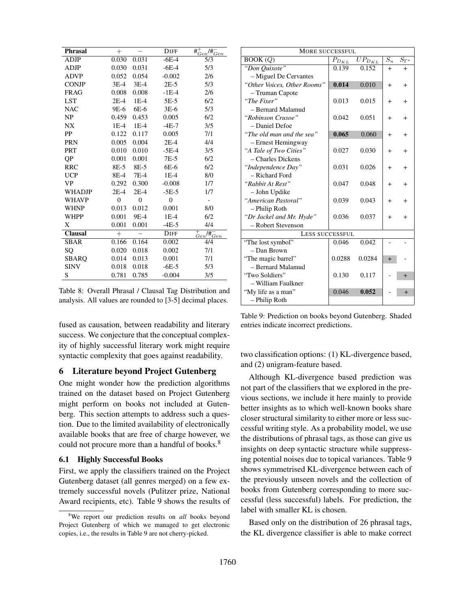| Phrasal        | $^{+}$             |                | <b>DIFF</b>    | $\#_{Gen}^+ / \#_{Gen}^-$                    |
|----------------|--------------------|----------------|----------------|----------------------------------------------|
| <b>ADJP</b>    | 0.030              | 0.031          | $-6E-4$        | 5/3                                          |
| ADJP           | 0.030              | 0.031          | $-6E-4$        | 5/3                                          |
| <b>ADVP</b>    | 0.052              | 0.054          | $-0.002$       | 2/6                                          |
| <b>CONJP</b>   | $3E-4$             | $3E-4$         | $2E-5$         | 5/3                                          |
| <b>FRAG</b>    | 0.008              | 0.008          | $-1E-4$        | 2/6                                          |
| <b>LST</b>     | $2E-4$             | $1E-4$         | 5E-5           | 6/2                                          |
| <b>NAC</b>     | 9E-6               | 6E-6           | $3E-6$         | 5/3                                          |
| NP             | 0.459              | 0.453          | 0.005          | 6/2                                          |
| <b>NX</b>      | $1E-4$             | $1E-4$         | $-4E-7$        | 3/5                                          |
| PP             | 0.122              | 0.117          | 0.005          | 7/1                                          |
| <b>PRN</b>     | 0.005              | 0.004          | $2E-4$         | 4/4                                          |
| <b>PRT</b>     | 0.010              | 0.010          | $-5E-4$        | 3/5                                          |
| QP             | 0.001              | 0.001          | $7E-5$         | 6/2                                          |
| <b>RRC</b>     | 8E-5               | 8E-5           | 6E-6           | 6/2                                          |
| <b>UCP</b>     | 8E-4               | 7E-4           | $1E-4$         | 8/0                                          |
| <b>VP</b>      | 0.292              | 0.300          | $-0.008$       | 1/7                                          |
| <b>WHADJP</b>  | $2E-4$             | $2E-4$         | $-5E-5$        | 1/7                                          |
| <b>WHAVP</b>   | $\overline{0}$     | $\overline{0}$ | $\overline{0}$ | $\blacksquare$                               |
| <b>WHNP</b>    | 0.013              | 0.012          | 0.001          | 8/0                                          |
| <b>WHPP</b>    | 0.001              | 9E-4           | $1E-4$         | 6/2                                          |
| X              | 0.001              | 0.001          | $-4E-5$        | 4/4                                          |
| <b>Clausal</b> | $^{+}$             |                | <b>DIFF</b>    | $\overline{+}$<br>$_{Gen}^+/ \sharp_{Gen}^-$ |
| <b>SBAR</b>    | $\overline{0.1}66$ | 0.164          | 0.002          | 4/4                                          |
| SO             | 0.020              | 0.018          | 0.002          | 7/1                                          |
| <b>SBARO</b>   | 0.014              | 0.013          | 0.001          | 7/1                                          |
| <b>SINV</b>    | 0.018              | 0.018          | $-6E-5$        | 5/3                                          |
| S              | 0.781              | 0.785          | $-0.004$       | 3/5                                          |

Table 8: Overall Phrasal / Clausal Tag Distribution and analysis. All values are rounded to [3-5] decimal places.

fused as causation, between readability and literary success. We conjecture that the conceptual complexity of highly successful literary work might require syntactic complexity that goes against readability.

### 6 Literature beyond Project Gutenberg

One might wonder how the prediction algorithms trained on the dataset based on Project Gutenberg might perform on books not included at Gutenberg. This section attempts to address such a question. Due to the limited availability of electronically available books that are free of charge however, we could not procure more than a handful of books.<sup>8</sup>

#### 6.1 Highly Successful Books

First, we apply the classifiers trained on the Project Gutenberg dataset (all genres merged) on a few extremely successful novels (Pulitzer prize, National Award recipients, etc). Table 9 shows the results of

| <b>MORE SUCCESSFUL</b>      |              |               |                  |                |  |  |  |  |
|-----------------------------|--------------|---------------|------------------|----------------|--|--|--|--|
| BOOK(Q)                     | $P_{D_{KL}}$ | $UP_{D_{KL}}$ | $\overline{S_u}$ | $S_{\Gamma^*}$ |  |  |  |  |
| "Don Quixote"               | 0.139        | 0.152         | $+$              | $+$            |  |  |  |  |
| - Miguel De Cervantes       |              |               |                  |                |  |  |  |  |
| "Other Voices, Other Rooms" | 0.014        | 0.010         | $\ddot{}$        | $+$            |  |  |  |  |
| - Truman Capote             |              |               |                  |                |  |  |  |  |
| "The Fixer"                 | 0.013        | 0.015         | $^{+}$           | $^{+}$         |  |  |  |  |
| - Bernard Malamud           |              |               |                  |                |  |  |  |  |
| "Robinson Crusoe"           | 0.042        | 0.051         | $\ddot{}$        | $\ddot{}$      |  |  |  |  |
| - Daniel Defoe              |              |               |                  |                |  |  |  |  |
| "The old man and the sea"   | 0.065        | 0.060         | $^{+}$           | $+$            |  |  |  |  |
| - Ernest Hemingway          |              |               |                  |                |  |  |  |  |
| "A Tale of Two Cities"      | 0.027        | 0.030         | $\ddot{}$        | $\ddot{}$      |  |  |  |  |
| - Charles Dickens           |              |               |                  |                |  |  |  |  |
| "Independence Day"          | 0.031        | 0.026         | $\ddot{}$        | $+$            |  |  |  |  |
| - Richard Ford              |              |               |                  |                |  |  |  |  |
| "Rabbit At Rest"            | 0.047        | 0.048         | $^{+}$           | $+$            |  |  |  |  |
| - John Updike               |              |               |                  |                |  |  |  |  |
| "American Pastoral"         | 0.039        | 0.043         | $+$              | $^{+}$         |  |  |  |  |
| - Philip Roth               |              |               |                  |                |  |  |  |  |
| "Dr Jackel and Mr. Hyde"    | 0.036        | 0.037         | $\ddot{}$        | $\ddot{}$      |  |  |  |  |
| - Robert Stevenson          |              |               |                  |                |  |  |  |  |
| <b>LESS SUCCESSFUL</b>      |              |               |                  |                |  |  |  |  |
| "The lost symbol"           | 0.046        | 0.042         |                  |                |  |  |  |  |
| - Dan Brown                 |              |               |                  |                |  |  |  |  |
| "The magic barrel"          | 0.0288       | 0.0284        | $+$              |                |  |  |  |  |
| - Bernard Malamud           |              |               |                  |                |  |  |  |  |
| "Two Soldiers"              | 0.130        | 0.117         |                  | $+$            |  |  |  |  |
| - William Faulkner          |              |               |                  |                |  |  |  |  |
| "My life as a man"          | 0.046        | 0.052         |                  | $+$            |  |  |  |  |
| - Philip Roth               |              |               |                  |                |  |  |  |  |

Table 9: Prediction on books beyond Gutenberg. Shaded entries indicate incorrect predictions.

two classification options: (1) KL-divergence based, and (2) unigram-feature based.

Although KL-divergence based prediction was not part of the classifiers that we explored in the previous sections, we include it here mainly to provide better insights as to which well-known books share closer structural similarity to either more or less successful writing style. As a probability model, we use the distributions of phrasal tags, as those can give us insights on deep syntactic structure while suppressing potential noises due to topical variances. Table 9 shows symmetrised KL-divergence between each of the previously unseen novels and the collection of books from Gutenberg corresponding to more successful (less successful) labels. For prediction, the label with smaller KL is chosen.

Based only on the distribution of 26 phrasal tags, the KL divergence classifier is able to make correct

<sup>8</sup>We report our prediction results on *all* books beyond Project Gutenberg of which we managed to get electronic copies, i.e., the results in Table 9 are not cherry-picked.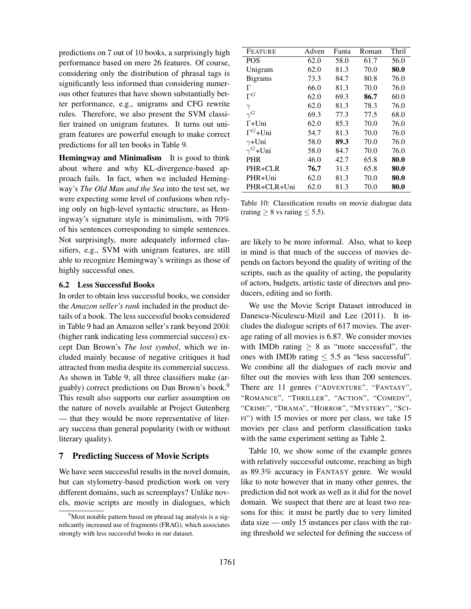predictions on 7 out of 10 books, a surprisingly high performance based on mere 26 features. Of course, considering only the distribution of phrasal tags is significantly less informed than considering numerous other features that have shown substantially better performance, e.g., unigrams and CFG rewrite rules. Therefore, we also present the SVM classifier trained on unigram features. It turns out unigram features are powerful enough to make correct predictions for all ten books in Table 9.

Hemingway and Minimalism It is good to think about where and why KL-divergence-based approach fails. In fact, when we included Hemingway's *The Old Man and the Sea* into the test set, we were expecting some level of confusions when relying only on high-level syntactic structure, as Hemingway's signature style is minimalism, with 70% of his sentences corresponding to simple sentences. Not surprisingly, more adequately informed classifiers, e.g., SVM with unigram features, are still able to recognize Hemingway's writings as those of highly successful ones.

### 6.2 Less Successful Books

In order to obtain less successful books, we consider the *Amazon seller's rank* included in the product details of a book. The less successful books considered in Table 9 had an Amazon seller's rank beyond 200k (higher rank indicating less commercial success) except Dan Brown's *The lost symbol*, which we included mainly because of negative critiques it had attracted from media despite its commercial success. As shown in Table 9, all three classifiers make (arguably) correct predictions on Dan Brown's book.<sup>9</sup> This result also supports our earlier assumption on the nature of novels available at Project Gutenberg — that they would be more representative of literary success than general popularity (with or without literary quality).

### 7 Predicting Success of Movie Scripts

We have seen successful results in the novel domain, but can stylometry-based prediction work on very different domains, such as screenplays? Unlike novels, movie scripts are mostly in dialogues, which

| <b>FEATURE</b>             | Adven | Fanta | Roman | Thril |
|----------------------------|-------|-------|-------|-------|
| <b>POS</b>                 | 62.0  | 58.0  | 61.7  | 56.0  |
| Unigram                    | 62.0  | 81.3  | 70.0  | 80.0  |
| <b>Bigrams</b>             | 73.3  | 84.7  | 80.8  | 76.0  |
| Г                          | 66.0  | 81.3  | 70.0  | 76.0  |
| $\Gamma^G$                 | 62.0  | 69.3  | 86.7  | 60.0  |
| $\gamma$                   | 62.0  | 81.3  | 78.3  | 76.0  |
| $\gamma^G$                 | 69.3  | 77.3  | 77.5  | 68.0  |
| $\Gamma +$ Uni             | 62.0  | 85.3  | 70.0  | 76.0  |
| $\Gamma^G$ +Uni            | 54.7  | 81.3  | 70.0  | 76.0  |
| $\gamma$ +Uni              | 58.0  | 89.3  | 70.0  | 76.0  |
| $\gamma$ <sup>G</sup> +Uni | 58.0  | 84.7  | 70.0  | 76.0  |
| <b>PHR</b>                 | 46.0  | 42.7  | 65.8  | 80.0  |
| PHR+CLR                    | 76.7  | 31.3  | 65.8  | 80.0  |
| PHR+Uni                    | 62.0  | 81.3  | 70.0  | 80.0  |
| PHR+CLR+Uni                | 62.0  | 81.3  | 70.0  | 80.0  |

Table 10: Classification results on movie dialogue data (rating  $\geq 8$  vs rating  $\leq 5.5$ ).

are likely to be more informal. Also, what to keep in mind is that much of the success of movies depends on factors beyond the quality of writing of the scripts, such as the quality of acting, the popularity of actors, budgets, artistic taste of directors and producers, editing and so forth.

We use the Movie Script Dataset introduced in Danescu-Niculescu-Mizil and Lee (2011). It includes the dialogue scripts of 617 movies. The average rating of all movies is 6.87. We consider movies with IMDb rating  $\geq 8$  as "more successful", the ones with IMDb rating  $\leq$  5.5 as "less successful". We combine all the dialogues of each movie and filter out the movies with less than 200 sentences. There are 11 genres ("ADVENTURE", "FANTASY", "ROMANCE", "THRILLER", "ACTION", "COMEDY", "CRIME", "DRAMA", "HORROR", "MYSTERY", "SCI-FI") with 15 movies or more per class, we take 15 movies per class and perform classification tasks with the same experiment setting as Table 2.

Table 10, we show some of the example genres with relatively successful outcome, reaching as high as 89.3% accuracy in FANTASY genre. We would like to note however that in many other genres, the prediction did not work as well as it did for the novel domain. We suspect that there are at least two reasons for this: it must be partly due to very limited data size — only 15 instances per class with the rating threshold we selected for defining the success of

 $9^9$ Most notable pattern based on phrasal tag analysis is a significantly increased use of fragments (FRAG), which associates strongly with less successful books in our dataset.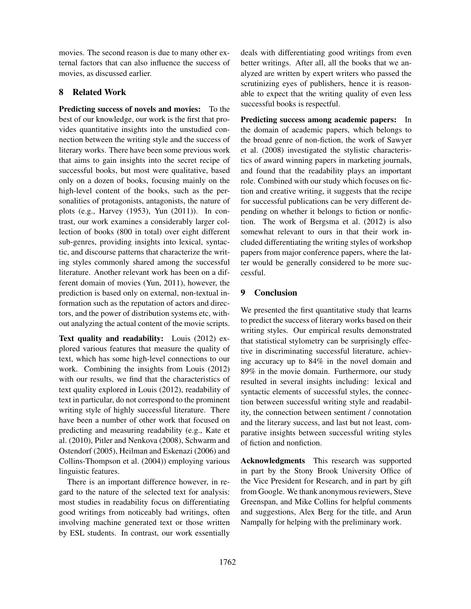movies. The second reason is due to many other external factors that can also influence the success of movies, as discussed earlier.

## 8 Related Work

Predicting success of novels and movies: To the best of our knowledge, our work is the first that provides quantitative insights into the unstudied connection between the writing style and the success of literary works. There have been some previous work that aims to gain insights into the secret recipe of successful books, but most were qualitative, based only on a dozen of books, focusing mainly on the high-level content of the books, such as the personalities of protagonists, antagonists, the nature of plots (e.g., Harvey (1953), Yun (2011)). In contrast, our work examines a considerably larger collection of books (800 in total) over eight different sub-genres, providing insights into lexical, syntactic, and discourse patterns that characterize the writing styles commonly shared among the successful literature. Another relevant work has been on a different domain of movies (Yun, 2011), however, the prediction is based only on external, non-textual information such as the reputation of actors and directors, and the power of distribution systems etc, without analyzing the actual content of the movie scripts.

Text quality and readability: Louis (2012) explored various features that measure the quality of text, which has some high-level connections to our work. Combining the insights from Louis (2012) with our results, we find that the characteristics of text quality explored in Louis (2012), readability of text in particular, do not correspond to the prominent writing style of highly successful literature. There have been a number of other work that focused on predicting and measuring readability (e.g., Kate et al. (2010), Pitler and Nenkova (2008), Schwarm and Ostendorf (2005), Heilman and Eskenazi (2006) and Collins-Thompson et al. (2004)) employing various linguistic features.

There is an important difference however, in regard to the nature of the selected text for analysis: most studies in readability focus on differentiating good writings from noticeably bad writings, often involving machine generated text or those written by ESL students. In contrast, our work essentially

deals with differentiating good writings from even better writings. After all, all the books that we analyzed are written by expert writers who passed the scrutinizing eyes of publishers, hence it is reasonable to expect that the writing quality of even less successful books is respectful.

Predicting success among academic papers: In the domain of academic papers, which belongs to the broad genre of non-fiction, the work of Sawyer et al. (2008) investigated the stylistic characteristics of award winning papers in marketing journals, and found that the readability plays an important role. Combined with our study which focuses on fiction and creative writing, it suggests that the recipe for successful publications can be very different depending on whether it belongs to fiction or nonfiction. The work of Bergsma et al. (2012) is also somewhat relevant to ours in that their work included differentiating the writing styles of workshop papers from major conference papers, where the latter would be generally considered to be more successful.

## 9 Conclusion

We presented the first quantitative study that learns to predict the success of literary works based on their writing styles. Our empirical results demonstrated that statistical stylometry can be surprisingly effective in discriminating successful literature, achieving accuracy up to 84% in the novel domain and 89% in the movie domain. Furthermore, our study resulted in several insights including: lexical and syntactic elements of successful styles, the connection between successful writing style and readability, the connection between sentiment / connotation and the literary success, and last but not least, comparative insights between successful writing styles of fiction and nonfiction.

Acknowledgments This research was supported in part by the Stony Brook University Office of the Vice President for Research, and in part by gift from Google. We thank anonymous reviewers, Steve Greenspan, and Mike Collins for helpful comments and suggestions, Alex Berg for the title, and Arun Nampally for helping with the preliminary work.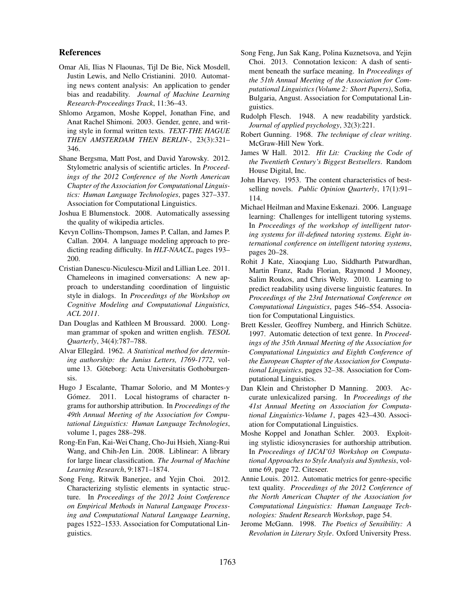### References

- Omar Ali, Ilias N Flaounas, Tijl De Bie, Nick Mosdell, Justin Lewis, and Nello Cristianini. 2010. Automating news content analysis: An application to gender bias and readability. *Journal of Machine Learning Research-Proceedings Track*, 11:36–43.
- Shlomo Argamon, Moshe Koppel, Jonathan Fine, and Anat Rachel Shimoni. 2003. Gender, genre, and writing style in formal written texts. *TEXT-THE HAGUE THEN AMSTERDAM THEN BERLIN-*, 23(3):321– 346.
- Shane Bergsma, Matt Post, and David Yarowsky. 2012. Stylometric analysis of scientific articles. In *Proceedings of the 2012 Conference of the North American Chapter of the Association for Computational Linguistics: Human Language Technologies*, pages 327–337. Association for Computational Linguistics.
- Joshua E Blumenstock. 2008. Automatically assessing the quality of wikipedia articles.
- Kevyn Collins-Thompson, James P. Callan, and James P. Callan. 2004. A language modeling approach to predicting reading difficulty. In *HLT-NAACL*, pages 193– 200.
- Cristian Danescu-Niculescu-Mizil and Lillian Lee. 2011. Chameleons in imagined conversations: A new approach to understanding coordination of linguistic style in dialogs. In *Proceedings of the Workshop on Cognitive Modeling and Computational Linguistics, ACL 2011*.
- Dan Douglas and Kathleen M Broussard. 2000. Longman grammar of spoken and written english. *TESOL Quarterly*, 34(4):787–788.
- Alvar Ellegård. 1962. A Statistical method for determin*ing authorship: the Junius Letters, 1769-1772*, volume 13. Göteborg: Acta Universitatis Gothoburgensis.
- Hugo J Escalante, Thamar Solorio, and M Montes-y Gómez. 2011. Local histograms of character ngrams for authorship attribution. In *Proceedings of the 49th Annual Meeting of the Association for Computational Linguistics: Human Language Technologies*, volume 1, pages 288–298.
- Rong-En Fan, Kai-Wei Chang, Cho-Jui Hsieh, Xiang-Rui Wang, and Chih-Jen Lin. 2008. Liblinear: A library for large linear classification. *The Journal of Machine Learning Research*, 9:1871–1874.
- Song Feng, Ritwik Banerjee, and Yejin Choi. 2012. Characterizing stylistic elements in syntactic structure. In *Proceedings of the 2012 Joint Conference on Empirical Methods in Natural Language Processing and Computational Natural Language Learning*, pages 1522–1533. Association for Computational Linguistics.
- Song Feng, Jun Sak Kang, Polina Kuznetsova, and Yejin Choi. 2013. Connotation lexicon: A dash of sentiment beneath the surface meaning. In *Proceedings of the 51th Annual Meeting of the Association for Computational Linguistics (Volume 2: Short Papers)*, Sofia, Bulgaria, Angust. Association for Computational Linguistics.
- Rudolph Flesch. 1948. A new readability yardstick. *Journal of applied psychology*, 32(3):221.
- Robert Gunning. 1968. *The technique of clear writing*. McGraw-Hill New York.
- James W Hall. 2012. *Hit Lit: Cracking the Code of the Twentieth Century's Biggest Bestsellers*. Random House Digital, Inc.
- John Harvey. 1953. The content characteristics of bestselling novels. *Public Opinion Quarterly*, 17(1):91– 114.
- Michael Heilman and Maxine Eskenazi. 2006. Language learning: Challenges for intelligent tutoring systems. In *Proceedings of the workshop of intelligent tutoring systems for ill-defined tutoring systems. Eight international conference on intelligent tutoring systems*, pages 20–28.
- Rohit J Kate, Xiaoqiang Luo, Siddharth Patwardhan, Martin Franz, Radu Florian, Raymond J Mooney, Salim Roukos, and Chris Welty. 2010. Learning to predict readability using diverse linguistic features. In *Proceedings of the 23rd International Conference on Computational Linguistics*, pages 546–554. Association for Computational Linguistics.
- Brett Kessler, Geoffrey Numberg, and Hinrich Schütze. 1997. Automatic detection of text genre. In *Proceedings of the 35th Annual Meeting of the Association for Computational Linguistics and Eighth Conference of the European Chapter of the Association for Computational Linguistics*, pages 32–38. Association for Computational Linguistics.
- Dan Klein and Christopher D Manning. 2003. Accurate unlexicalized parsing. In *Proceedings of the 41st Annual Meeting on Association for Computational Linguistics-Volume 1*, pages 423–430. Association for Computational Linguistics.
- Moshe Koppel and Jonathan Schler. 2003. Exploiting stylistic idiosyncrasies for authorship attribution. In *Proceedings of IJCAI'03 Workshop on Computational Approaches to Style Analysis and Synthesis*, volume 69, page 72. Citeseer.
- Annie Louis. 2012. Automatic metrics for genre-specific text quality. *Proceedings of the 2012 Conference of the North American Chapter of the Association for Computational Linguistics: Human Language Technologies: Student Research Workshop*, page 54.
- Jerome McGann. 1998. *The Poetics of Sensibility: A Revolution in Literary Style*. Oxford University Press.